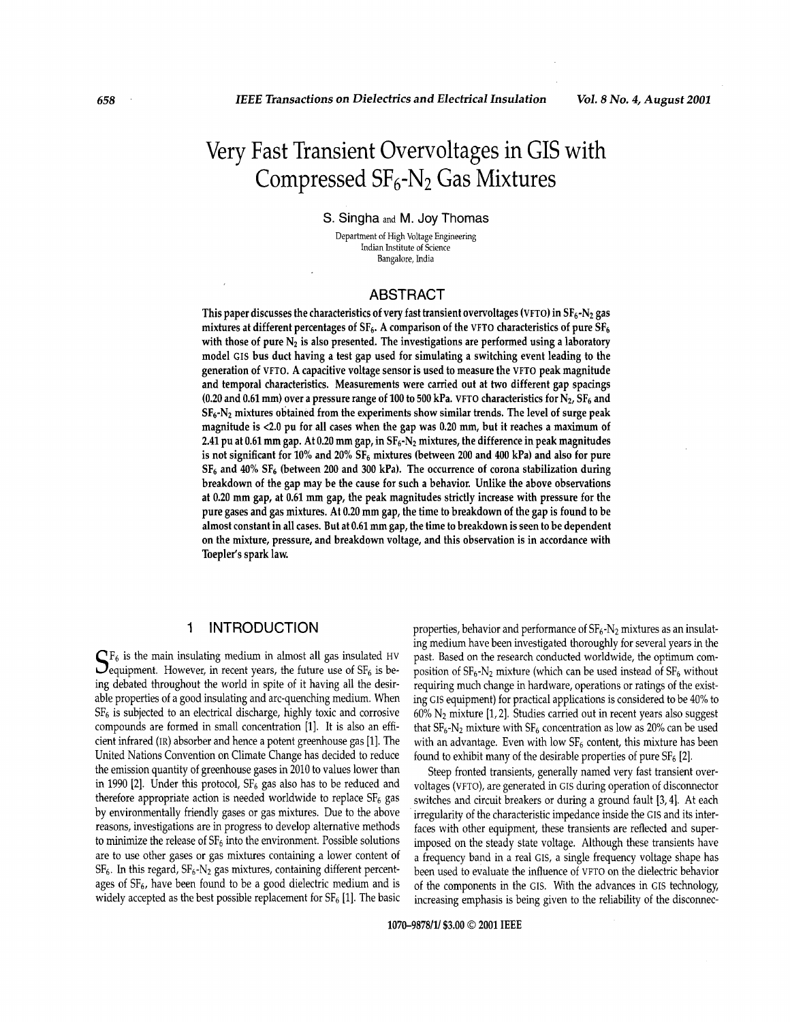# Very Fast Transient Overvoltages in GIS with Compressed  $SF_6-N_2$  Gas Mixtures

S. Singha and M. Joy Thomas

Department of High Voltage Engineering Indian Institute of Science Bangalore, India

# ABSTRACT

This paper discusses the characteristics of very fast transient overvoltages (VFTO) in  $SF_6-N_2$  gas mixtures at different percentages of SF<sub>6</sub>. A comparison of the VFTO characteristics of pure SF<sub>6</sub> with those of pure N<sub>2</sub> is also presented. The investigations are performed using a laboratory model **GIS** bus duct having a test gap used for simulating a switching event leading to the generation of **VFTO.** A capacitive voltage sensor is used to measure the **VFTO** peak magnitude and temporal characteristics. Measurements were carried out at two different gap spacings **(0.20** and **0.61** mm) over a pressure range **of 100** to **500** kPa. **VFTO** characteristics for **N2, SF6** and **SF6-N2** mixtures obtained from the experiments show similar trends. The level of surge peak magnitude is **<2.0** pu for all cases when the gap was **0.20** mm, but it reaches a maximum of **2.41** pu at **0.61** mm gap. At **0.20** mm gap, in **fiF6-N~** mixtures, the difference in peak magnitudes is not significant for **10%** and **20% sF6** mixtures (between **200** and **400** kPa) and also **for** pure **SF6** and **40% SF6** (between **200** and **300** kPa). The occurrence **of** corona stabilization during breakdown of the gap may be the cause for such a behavior. Unlike the above observations at **0.20** mm gap, at **0.61** mm gap, the peak magnitudes strictly increase with pressure for the pure gases and gas mixtures. At **0.20** mm gap, the time to breakdown **of** the gap is found to be almost constant in all cases. But at **0.61** mm gap, the time to breakdown is seen to be dependent on the mixture, pressure, and breakdown voltage, and this observation is in accordance with Toepler's spark law.

# **1** INTRODUCTION

 $\mathbb{CP}_6$  is the main insulating medium in almost all gas insulated HV ing debated throughout the world in spite of it having all the desirable properties of a good insulating and arc-quenching medium. When  $SF<sub>6</sub>$  is subjected to an electrical discharge, highly toxic and corrosive compounds are formed in small concentration [l]. It is also an efficient infrared (IR) absorber and hence a potent greenhouse gas [l]. The United Nations Convention on Climate Change has decided to reduce the emission quantity of greenhouse gases in 2010 to values lower than in 1990 [2]. Under this protocol,  $SF_6$  gas also has to be reduced and therefore appropriate action is needed worldwide to replace  $SF<sub>6</sub>$  gas by environmentally friendly gases or gas mixtures. Due to the above reasons, investigations are in progress to develop alternative methods to minimize the release of  $SF_6$  into the environment. Possible solutions are to use other gases or gas mixtures containing a lower content of  $SF_6$ . In this regard,  $SF_6$ -N<sub>2</sub> gas mixtures, containing different percentages of  $SF<sub>6</sub>$ , have been found to be a good dielectric medium and is widely accepted as the best possible replacement for  $SF_6$  [1]. The basic **J** equipment. However, in recent years, the future use of  $SF<sub>6</sub>$  is beproperties, behavior and performance of  $SF_6-N_2$  mixtures as an insulating medium have been investigated thoroughly for several years in the past. Based on the research conducted worldwide, the optimum composition of  $SF_6-N_2$  mixture (which can be used instead of  $SF_6$  without requiring much change in hardware, operations or ratings of the existing GIS equipment) for practical applications is considered to be 40% to  $60\%$  N<sub>2</sub> mixture [1, 2]. Studies carried out in recent years also suggest that  $SF_6-N_2$  mixture with  $SF_6$  concentration as low as 20% can be used with an advantage. Even with low  $SF<sub>6</sub>$  content, this mixture has been found to exhibit many of the desirable properties of pure  $SF_6$  [2].

Steep fronted transients, generally named very fast transient overvoltages (VFTO), are generated in GIs during operation of disconnector switches and circuit breakers or during a ground fault [3,4]. At each irregularity of the characteristic impedance inside the GIS and its interfaces with other equipment, these transients are reflected and superimposed on the steady state voltage. Although these transients have a frequency band in a real GIS, a single frequency voltage shape has been used to evaluate the influence of VFTO on the dielectric behavior of the components in the GIS. With the advances in GIs technology, increasing emphasis is being given to the reliability of the disconnec-

**1070-9878/1/ \$3.00** *0* **<sup>2001</sup>IEEE**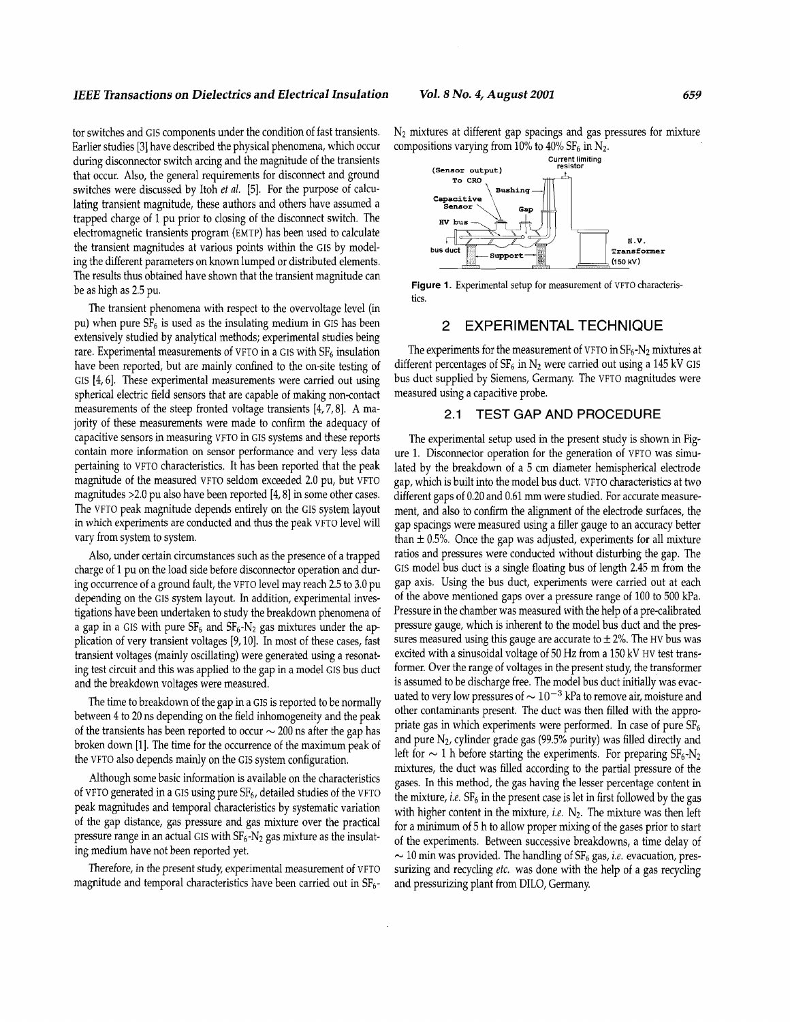#### *IEEE Transactions on Dielectrics and Electrical Insulation Vol. 8 No. 4, August 2001 659*

tor switches and GIS components under the condition of fast transients. Earlier studies **[3]** have described the physical phenomena, which occur during disconnector switch arcing and the magnitude of the transients that occur. Also, the general requirements for disconnect and ground switches were discussed by Itoh *et al.* [5]. For the purpose of calculating transient magnitude, these authors and others have assumed a trapped charge of 1 pu prior to closing of the disconnect switch. The electromagnetic transients program (EMTP) has been used to calculate the transient magnitudes at various points within the GIS by modeling the different parameters on known lumped or distributed elements. The results thus obtained have shown that the transient magnitude can be as high as 2.5 pu.

The transient phenomena with respect to the overvoltage level (in pu) when pure  $SF<sub>6</sub>$  is used as the insulating medium in GIS has been extensively studied by analytical methods; experimental studies being rare. Experimental measurements of VFTO in a GIS with  $SF<sub>6</sub>$  insulation have been reported, but are mainly confined to the on-site testing of GIS [4,6]. These experimental measurements were carried out using spherical electric field sensors that are capable of making non-contact measurements of the steep fronted voltage transients [4,7,8]. A majority of these measurements were made to confirm the adequacy of capacitive sensors in measuring VFTO in GIs systems and these reports contain more information on sensor performance and very less data pertaining to VFTO characteristics. It has been reported that the peak magnitude of the measured VFTO seldom exceeded 2.0 pu, but VFTO magnitudes >2.0 pu also have been reported [4,8] in some other cases. The VFTO peak magnitude depends entirely on the GIs system layout in which experiments are conducted and thus the peak VFTO level will vary from system to system.

Also, under certain circumstances such as the presence of a trapped charge of 1 pu on the load side before disconnector operation and during occurrence of a ground fault, the VFTO level may reach 2.5 to 3.0 pu depending on the GIS system layout. In addition, experimental investigations have been undertaken to study the breakdown phenomena of a gap in a GIS with pure  $SF_6$  and  $SF_6$ -N<sub>2</sub> gas mixtures under the application of very transient voltages [9, 10]. In most of these cases, fast transient voltages (mainly oscillating) were generated using a resonating test circuit and this was applied to the gap in a model GIS bus duct and the breakdown voltages were measured.

The time to breakdown of the gap in a GIS is reported to be normally between 4 to 20 ns depending on the field inhomogeneity and the peak of the transients has been reported to occur  $\sim$  200 ns after the gap has of the transients has been reported to occur  $\sim$  200 ns after the gap has broken down [1]. The time for the occurrence of the maximum peak of the VFTO also depends mainly on the GIs system configuration.

Although some basic information is available on the characteristics of VFTO generated in a GIS using pure  $SF_6$ , detailed studies of the VFTO peak magnitudes and temporal characteristics by systematic variation of the gap distance, gas pressure and gas mixture over the practical pressure range in an actual GIS with  $SF_6-N_2$  gas mixture as the insulating medium have not been reported yet.

Therefore, in the present study experimental measurement of VFTO magnitude and temporal characteristics have been carried out in  $SF<sub>6</sub>$ -

 $N_2$  mixtures at different gap spacings and gas pressures for mixture compositions varying from 10% to 40% SF<sub>6</sub> in N<sub>2</sub>.



Figure 1. Experimental setup for measurement of VFTO characteristics.

## 2 EXPERIMENTAL TECHNIQUE

The experiments for the measurement of VFTO in  $SF_6-N_2$  mixtures at different percentages of  $SF_6$  in N<sub>2</sub> were carried out using a 145 kV GIS bus duct supplied by Siemens, Germany. The VFTO magnitudes were measured using a capacitive probe.

## 2.1 TEST GAP AND PROCEDURE

The experimental setup used in the present study is shown in Figure 1. Disconnector operation for the generation of VFTO was simulated by the breakdown of a 5 cm diameter hemispherical electrode gap, which is built into the model bus duct. VFTO characteristics at two different gaps of 0.20 and 0.61 mm were studied. For accurate measurement, and also to confirm the alignment of the electrode surfaces, the gap spacings were measured using a filler gauge to an accuracy better than  $\pm$  0.5%. Once the gap was adjusted, experiments for all mixture ratios and pressures were conducted without disturbing the gap. The GIS model bus duct is a single floating bus of length 2.45 m from the gap axis. Using the bus duct, experiments were carried out at each of the above mentioned gaps over a pressure range of 100 to 500 kPa. Pressure in the chamber was measured with the help of a pre-calibrated pressure gauge, which is inherent to the model bus duct and the pressures measured using this gauge are accurate to  $\pm$  2%. The HV bus was excited with a sinusoidal voltage of 50 Hz from a 150 kV HV test transformer. Over the range of voltages in the present study, the transformer is assumed to be discharge free. The model bus duct initially was evacuated to very low pressures of  $\sim 10^{-3}$  kPa to remove air, moisture and other contaminants present. The duct was then filled with the appropriate gas in which experiments were performed. In case of pure  $SF<sub>6</sub>$ and pure  $N_2$ , cylinder grade gas (99.5% purity) was filled directly and left for  $\sim$  1 h before starting the experiments. For preparing  $SF_6-N_2$ mixtures, the duct was filled according to the partial pressure of the gases. In this method, the gas having the lesser percentage content in the mixture, *i.e.*  $SF_6$  in the present case is let in first followed by the gas with higher content in the mixture, *i.e.*  $N_2$ . The mixture was then left for a minimum of 5 h to allow proper mixing of the gases prior to start of the experiments. Between successive breakdowns, a time delay of  $\sim$  10 min was provided. The handling of SF<sub>6</sub> gas, *i.e.* evacuation, pressurizing and recycling *etc.* was done with the help of a gas recycling and pressurizing plant from DILO, Germany.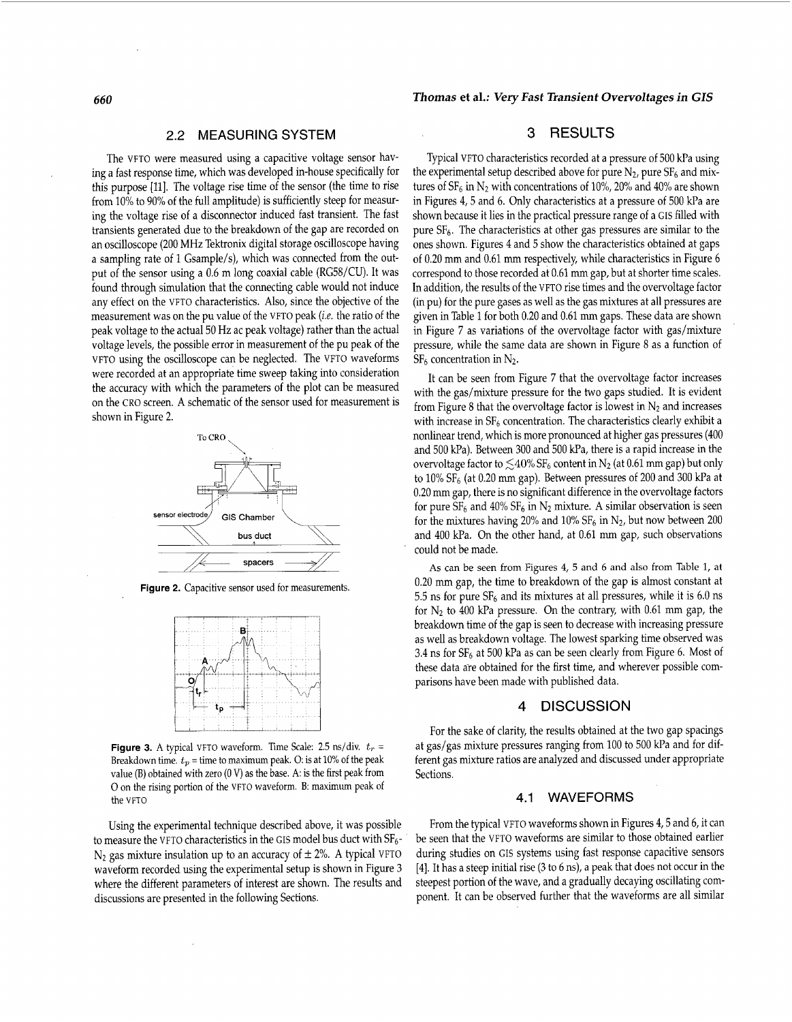#### 2.2 MEASURING SYSTEM

The VFTO were measured using a capacitive voltage sensor having a fast response time, which was developed in-house specifically for this purpose [11]. The voltage rise time of the sensor (the time to rise from 10% to 90% of the full amplitude) is sufficiently steep for measuring the voltage rise of a disconnector induced fast transient. The fast transients generated due to the breakdown of the gap are recorded on an oscilloscope (200 MHz Tektronix digital storage oscilloscope having a sampling rate of 1 Gsample/s), which was connected from the output of the sensor using a 0.6 m long coaxial cable (RG56/CU). It was found through simulation that the connecting cable would not induce any effect on the VFTO characteristics. Also, since the objective of the measurement was on the pu value of the VFTO peak (i.e. the ratio of the peak voltage to the actual 50 Hz ac peak voltage) rather than the actual voltage levels, the possible error in measurement of the pu peak of the VFTO using the oscilloscope can be neglected. The VFTO waveforms were recorded at an appropriate time sweep taking into consideration the accuracy with which the parameters of the plot can be measured on the CRO screen. A schematic of the sensor used for measurement is shown in Figure *2.* 



**Figure 2.** Capacitive sensor used for measurements.



**Figure 3.** A typical VFTO waveform. Time Scale: 2.5  $\text{ns}/\text{div.}$   $t_r$  = Breakdown time.  $t_p =$  time to maximum peak. O: is at 10% of the peak value (B) obtained with zero (0 V) as the base. A: is the first peak from 0 on the rising portion of the VFTO waveform. B: maximum peak of the VFTO

Using the experimental technique described above, it was possible to measure the VFTO characteristics in the GIS model bus duct with  $\rm SF_6$  - $N_2$  gas mixture insulation up to an accuracy of  $\pm 2$ %. A typical VFTO waveform recorded using the experimental setup is shown in Figure **3**  where the different parameters of interest are shown. The results and discussions are presented in the following Sections.

#### *660 Thomas* **et al.:** *Very Fast Transient Overvoltages in GIS*

## **3** RESULTS

Typical VFTO characteristics recorded at a pressure of 500 kPa using the experimental setup described above for pure  $N_2$ , pure  $SF_6$  and mixtures of  $SF_6$  in  $N_2$  with concentrations of 10%, 20% and 40% are shown in Figures 4,5 and 6. Only characteristics at a pressure of 500 kPa are shown because it lies in the practical pressure range of a GIS filled with pure SF6. The characteristics at other gas pressures are similar to the ones shown. [Figures 4](#page-3-0) and 5 show the characteristics obtained at gaps of 0.20 mm and 0.61 mm respectively, while characteristics in [Figure 6](#page-3-0) correspond to those recorded at 0.61 mm gap, but at shorter time scales. In addition, the results of the VFTO rise times and the overvoltage factor (in pu) for the pure gases as well as the gas mixtures at all pressures are given in Table 1 for both 0.20 and 0.61 mm gaps. These data are shown in Figure 7 as variations of the overvoltage factor with gas/mixture pressure, while the same data are shown in Figure 8 as a function of  $SF<sub>6</sub>$  concentration in N<sub>2</sub>.

It can be seen from Figure 7 that the overvoltage factor increases with the gas/mixture pressure for the two gaps studied. It is evident from Figure 8 that the overvoltage factor is lowest in  $N_2$  and increases with increase in  $SF_6$  concentration. The characteristics clearly exhibit a nonlinear trend, which is more pronounced at higher gas pressures (400 and 500 kPa). Between 300 and 500 kPa, there is a rapid increase in the overvoltage factor to  $\leq 40\%$  SF<sub>6</sub> content in N<sub>2</sub> (at 0.61 mm gap) but only to 10% SF<sub>6</sub> (at 0.20 mm gap). Between pressures of 200 and 300 kPa at 0.20 mm gap, there is no significant difference in the overvoltage factors for pure  $SF_6$  and 40%  $SF_6$  in  $N_2$  mixture. A similar observation is seen for the mixtures having 20% and 10%  $SF_6$  in  $N_2$ , but now between 200 and 400 kPa. On the other hand, at 0.61 mm gap, such observations could not be made.

**As** can be seen from Figures 4, *5* and *6* and also from Table 1, at 0.20 mm gap, the time to breakdown of the gap is almost constant at 5.5 ns for pure  $SF_6$  and its mixtures at all pressures, while it is 6.0 ns for  $N_2$  to 400 kPa pressure. On the contrary, with 0.61 mm gap, the breakdown time of the gap is seen to decrease with increasing pressure as well as breakdown voltage. The lowest sparking time observed was 3.4 ns for  $SF_6$  at 500 kPa as can be seen clearly from [Figure 6.](#page-3-0) Most of these data are obtained for the first time, and wherever possible comparisons have been made with published data.

#### **4** DISCUSSION

For the sake of clarity, the results obtained at the two gap spacings at gas/gas mixture pressures ranging from 100 to 500 kPa and for different gas mixture ratios are analyzed and discussed under appropriate Sections.

#### 4.1 WAVEFORMS

From the typical VFTO waveforms shown in Figures 4,5 and 6, it can be seen that the VFTO waveforms are similar to those obtained earlier during studies on GIs systems using fast response capacitive sensors [4]. It has a steep initial rise **(3** to 6 ns), a peak that does not occur in the steepest portion of the wave, and a gradually decaying oscillating component. It can be observed further that the waveforms are all similar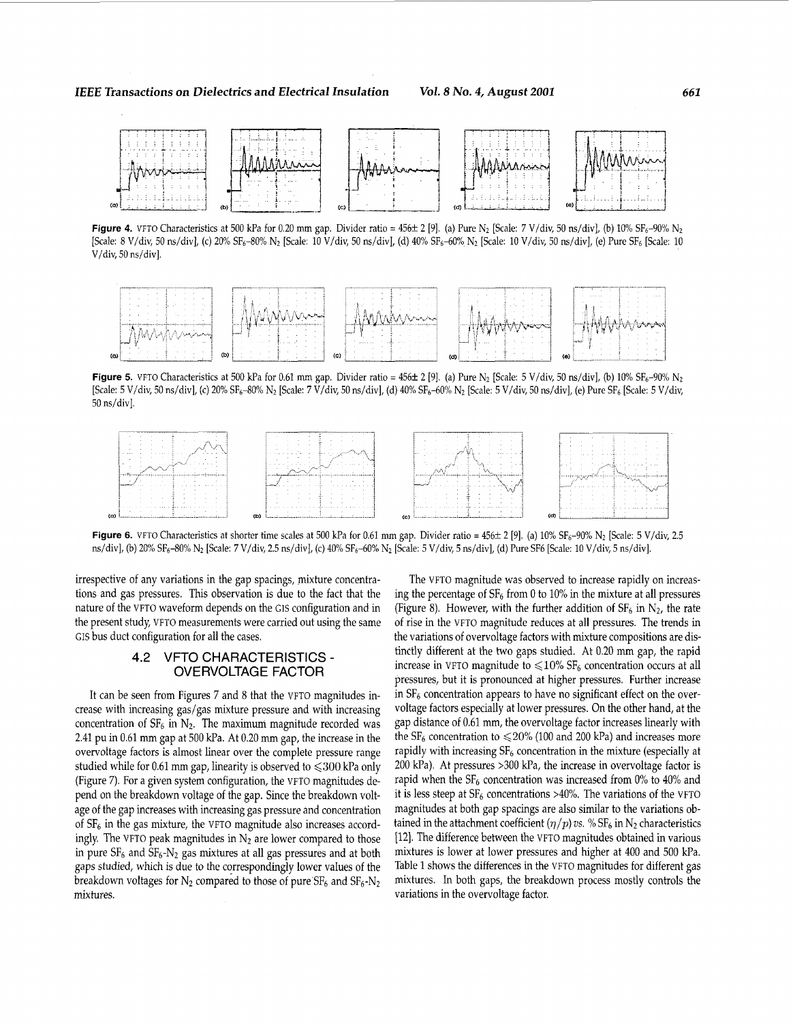<span id="page-3-0"></span>

**Figure 4.** VFTO Characteristics at 500 kPa for 0.20 mm gap. Divider ratio =  $456\pm 2$  [9]. (a) Pure N<sub>2</sub> [Scale: *7 V*/div, 50 ns/div], (b) 10% SF<sub>6</sub>-90% N<sub>2</sub>  $[Scale: 8 V/div, 50 ns/div], (c) 20% SF<sub>6</sub>–80% N<sub>2</sub> [Scale: 10 V/div, 50 ns/div], (d) 40% SF<sub>6</sub>–60% N<sub>2</sub> [Scale: 10 V/div, 50 ns/div], (e) Pure SF<sub>6</sub> [Scale: 10 V/div, 50 ns/div], (f) 20% SF<sub>6</sub>–80% N<sub>2</sub> [Scale: 10 V/div, 50 ns/div], (g) 20% SF<sub>6</sub>–80% N<sub>2</sub> [Scale: 10 V/div,$ V/div, 50 ns/div].



Figure 5. VFTO Characteristics at 500 kPa for 0.61 mm gap. Divider ratio =  $456\pm 2$  [9]. (a) Pure N<sub>2</sub> [Scale: 5 V/div, 50 ns/div], (b) 10% SF<sub>6</sub>-90% N<sub>2</sub> [Scale: 5 V/div, 50 ns/div], (c) 20% SF<sub>6</sub>-80% N<sub>2</sub> [Scale: 7 V/div, 50 ns/div], (d) 40% SF<sub>6</sub>-60% N<sub>2</sub> [Scale: 5 V/div, 50 ns/div], (e) Pure SF<sub>6</sub> [Scale: 5 V/div, 50 ns/div].



Figure 6. VFTO Characteristics at shorter time scales at 500 kPa for 0.61 mm gap. Divider ratio = 456± 2 [9]. (a) 10% SF<sub>6</sub>-90% N<sub>2</sub> [Scale: 5 V/div, 2.5 ns/div], (b) 20% SF<sub>6</sub>-80% N<sub>2</sub> [Scale: 7 V/div, 2.5 ns/div], (c) 40% SF<sub>6</sub>-60% N<sub>2</sub> [Scale: 5 V/div, 5 ns/div], (d) Pure SF6 [Scale: 10 V/div, 5 ns/div].

irrespective of any variations in the gap spacings, mixture concentrations and gas pressures. This observation is due to the fact that the nature of the VFTO waveform depends on the GIS configuration and in the present study, VFTO measurements were carried out using the same GIS bus duct configuration for all the cases.

## 4.2 VFTO CHARACTERISTICS - OVERVOLTAGE FACTOR

It can be seen from Figures **7** and 8 that the VFTO magnitudes increase with increasing gas/gas mixture pressure and with increasing concentration of  $SF_6$  in  $N_2$ . The maximum magnitude recorded was 2.41 pu in 0.61 mm gap at 500 kPa. At 0.20 mm gap, the increase in the overvoltage factors is almost linear over the complete pressure range studied while for 0.61 mm gap, linearity is observed to  $\leq 300$  kPa only (Figure 7). For a given system configuration, the VFTO magnitudes depend on the breakdown voltage of the gap. Since the breakdown voltage of the gap increases with increasing gas pressure and concentration of  $SF<sub>6</sub>$  in the gas mixture, the VFTO magnitude also increases accordingly. The VFTO peak magnitudes in  $N_2$  are lower compared to those in pure  $SF_6$  and  $SF_6$ -N<sub>2</sub> gas mixtures at all gas pressures and at both gaps studied, which is due to the correspondingly lower values of the breakdown voltages for  $N_2$  compared to those of pure  $SF_6$  and  $SF_6$ - $N_2$ mixtures.

The VFTO magnitude was observed to increase rapidly on increasing the percentage of SF6 from *0* to 10% in the mixture at all pressures (Figure 8). However, with the further addition of  $SF_6$  in  $N_2$ , the rate of rise in the VFTO magnitude reduces at all pressures. The trends in the variations of overvoltage factors with mixture compositions are distinctly different at the two gaps studied. At 0.20 mm gap, the rapid increase in VFTO magnitude to  $\leq 10\%$  SF<sub>6</sub> concentration occurs at all pressures, but it is pronounced at higher pressures. Further increase in  $SF<sub>6</sub>$  concentration appears to have no significant effect on the overvoltage factors especially at lower pressures. On the other hand, at the gap distance of 0.61 mm, the overvoltage factor increases linearly with the  $SF_6$  concentration to  $\leq$  20% (100 and 200 kPa) and increases more rapidly with increasing  $SF_6$  concentration in the mixture (especially at 200 kPa). At pressures >300 kPa, the increase in overvoltage factor is rapid when the  $SF_6$  concentration was increased from 0% to 40% and it is less steep at  $SF_6$  concentrations >40%. The variations of the VFTO magnitudes at both gap spacings are also similar to the variations obtained in the attachment coefficient  $(\eta/p)$  *vs.* %  $S\mathbb{F}_6$  in N<sub>2</sub> characteristics [12]. The difference between the VFTO magnitudes obtained in various mixtures is lower at lower pressures and higher at 400 and 500 kPa. Table 1 shows the differences in the VFTO magnitudes for different gas mixtures. In both gaps, the breakdown process mostly controls the variations in the overvoltage factor.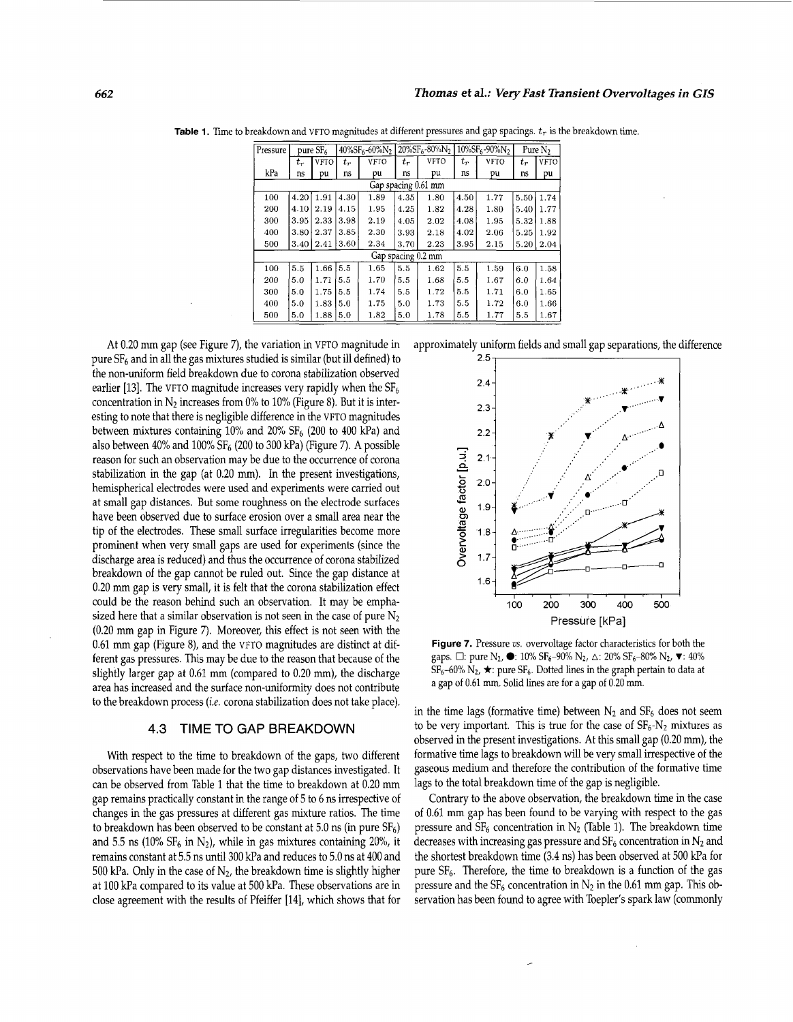|                                                                                                   | Thomas et al.: Very Fast Transient Overvoltages in GIS |                          |       |      |                                                                                   |      |                                           |             |                     |                  |
|---------------------------------------------------------------------------------------------------|--------------------------------------------------------|--------------------------|-------|------|-----------------------------------------------------------------------------------|------|-------------------------------------------|-------------|---------------------|------------------|
|                                                                                                   |                                                        |                          |       |      |                                                                                   |      |                                           |             |                     |                  |
| eakdown and VFTO magnitudes at different pressures and gap spacings. $t_r$ is the breakdown time. |                                                        |                          |       |      |                                                                                   |      |                                           |             |                     |                  |
| Pressure                                                                                          | $pure S F_6$                                           |                          |       |      | $40\%$ SF <sub>6</sub> -60%N <sub>2</sub>   20%SF <sub>6</sub> -80%N <sub>2</sub> |      | $10\%$ SF <sub>6</sub> -90%N <sub>2</sub> |             | Pure N <sub>2</sub> |                  |
|                                                                                                   | $t_r$                                                  | VFTO                     | $t_r$ | VFTO | $t_{r}$                                                                           | VFTO | $t_r$                                     | <b>VFTO</b> | $t_r$               | <b>VFTO</b>      |
| kPa                                                                                               | ns                                                     | pu                       | ns    | pu   | ns                                                                                | pu   | ns                                        | pu          | ns                  | pu               |
| Gap spacing 0.61 mm                                                                               |                                                        |                          |       |      |                                                                                   |      |                                           |             |                     |                  |
| 100                                                                                               |                                                        | $4.20$   $1.91$          | 4.30  | 1.89 | 4.35                                                                              | 1.80 | 4.50                                      | 1.77        |                     | $5.50 \mid 1.74$ |
| 200                                                                                               |                                                        | $4.10$   $2.19$   $4.15$ |       | 1.95 | 4.25                                                                              | 1.82 | 4.28                                      | 1.80        | 5.40 1.77           |                  |
| 300                                                                                               | 3.95                                                   | $2.33 \mid 3.98$         |       | 2.19 | 4.05                                                                              | 2.02 | 4.08                                      | 1.95        | $5.32$   1.88       |                  |
| 400                                                                                               | 3.80                                                   | 2.37                     | 3.85  | 2.30 | 3.93                                                                              | 2.18 | 4.02                                      | 2.06        |                     | $5.25 \mid 1.92$ |
| 500                                                                                               |                                                        | $3.40$   $2.41$   $3.60$ |       | 2.34 | 3.70                                                                              | 2.23 | 3.95                                      | 2.15        |                     | $5.20 \mid 2.04$ |
| Gap spacing 0.2 mm                                                                                |                                                        |                          |       |      |                                                                                   |      |                                           |             |                     |                  |
| 100                                                                                               | 5.5                                                    | $1.66$ 5.5               |       | 1.65 | 5.5                                                                               | 1.62 | 5.5                                       | 1.59        | 6.0                 | 1.58             |
| 200                                                                                               | 5.0                                                    | $1.71$ 5.5               |       | 1.70 | 5.5                                                                               | 1.68 | 5.5                                       | 1.67        | 6.0                 | 1.64             |
| 300                                                                                               | 5.0                                                    | 1.75                     | 5.5   | 1.74 | 5.5                                                                               | 1.72 | 5.5                                       | 1.71        | 6.0                 | 1.65             |
| 400                                                                                               | 5.0                                                    | 1.83                     | 5.0   | 1.75 | 5.0                                                                               | 1.73 | 5.5                                       | 1.72        | 6.0                 | 1.66             |
| 500                                                                                               | 5.0                                                    | 1.88                     | 5.0   | 1.82 | 5.0                                                                               | 1.78 | 5.5                                       | 1.77        | 5.5                 | 1.67             |

Table 1. Time to breakdown and VFTO magnitudes at different pressures and gap spacings.  $t_r$  is the breakdown time.

At 0.20 mm gap (see Figure *7),* the variation in VFTO magnitude in pure SF6 and in all the gas mixtures studied is similar (but ill defined) to the non-uniform field breakdown due to corona stabilization observed earlier [13]. The VFTO magnitude increases very rapidly when the  $SF<sub>6</sub>$ concentration in  $N_2$  increases from 0% to 10% (Figure 8). But it is interesting to note that there is negligible difference in the VFTO magnitudes between mixtures containing  $10\%$  and  $20\%$  SF<sub>6</sub> (200 to 400 kPa) and also between  $40\%$  and  $100\%$  SF<sub>6</sub> (200 to 300 kPa) (Figure 7). A possible reason for such an observation may be due to the occurrence of corona stabilization in the gap (at 0.20 mm). In the present investigations, hemispherical electrodes were used and experiments were carried out at small gap distances. But some roughness on the electrode surfaces have been observed due to surface erosion over a small area near the tip of the electrodes. These small surface irregularities become more prominent when very small gaps are used for experiments (since the discharge area is reduced) and thus the occurrence of corona stabilized breakdown of the gap cannot be ruled out. Since the gap distance at 0.20 mm gap is very small, it is felt that the corona stabilization effect could be the reason behind such an observation. It may be emphasized here that a similar observation is not seen in the case of pure  $N_2$ (0.20 mm gap in Figure 7). Moreover, this effect is not seen with the 0.61 mm gap (Figure 8), and the vFTO magnitudes are distinct at different gas pressures. This may be due to the reason that because of the slightly larger gap at 0.61 mm (compared to 0.20 mm), the discharge area has increased and the surface non-uniformity does not contribute to the breakdown process *(i.e.* corona stabilization does not take place).

#### **4.3** TIME TO **GAP** BREAKDOWN

With respect to the time to breakdown of the gaps, two different observations have been made for the two gap distances investigated. It can be observed from Table 1 that the time to breakdown at 0.20 mm gap remains practically constant in the range of 5 to 6 ns irrespective of changes in the gas pressures at different gas mixture ratios. The time to breakdown has been observed to be constant at  $5.0$  ns (in pure  $SF<sub>6</sub>$ ) and 5.5 ns (10%  $SF_6$  in  $N_2$ ), while in gas mixtures containing 20%, it remains constant at 5.5 ns until 300 kPa and reduces to 5.0 ns at 400 and 500 kPa. Only in the case of  $N_2$ , the breakdown time is slightly higher at 100 kPa compared to its value at 500 kPa. These observations are in close agreement with the results of Pfeiffer [14], which shows that for





**Figure** *7.* Pressure *us.* overvoltage factor characteristics for both the gaps.  $\Box$ : pure N<sub>2</sub>,  $\bullet$ : 10% SF<sub>6</sub>-90% N<sub>2</sub>,  $\Delta$ : 20% SF<sub>6</sub>-80% N<sub>2</sub>,  $\blacktriangledown$ : 40%  $SF_6$ -60%  $N_2$ ,  $\star$ : pure  $SF_6$ . Dotted lines in the graph pertain to data at a gap of 0.61 mm. Solid lines are for a gap of 0.20 mm.

in the time lags (formative time) between  $N_2$  and  $SF_6$  does not seem to be very important. This is true for the case of  $SF_6-N_2$  mixtures as observed in the present investigations. At this small gap (0.20 mm), the formative time lags to breakdown will be very small irrespective of the gaseous medium and therefore the contribution of the formative time lags to the total breakdown time of the gap is negligible.

Contrary to the above observation, the breakdown time in the case of 0.61 mm gap has been found to be varying with respect to the gas pressure and  $SF_6$  concentration in  $N_2$  (Table 1). The breakdown time decreases with increasing gas pressure and  $SF_6$  concentration in  $N_2$  and the shortest breakdown time (3.4 ns) has been observed at 500 kPa for pure SF<sub>6</sub>. Therefore, the time to breakdown is a function of the gas pressure and the  $SF_6$  concentration in  $N_2$  in the 0.61 mm gap. This observation has been found to agree with Toepler's spark law (commonly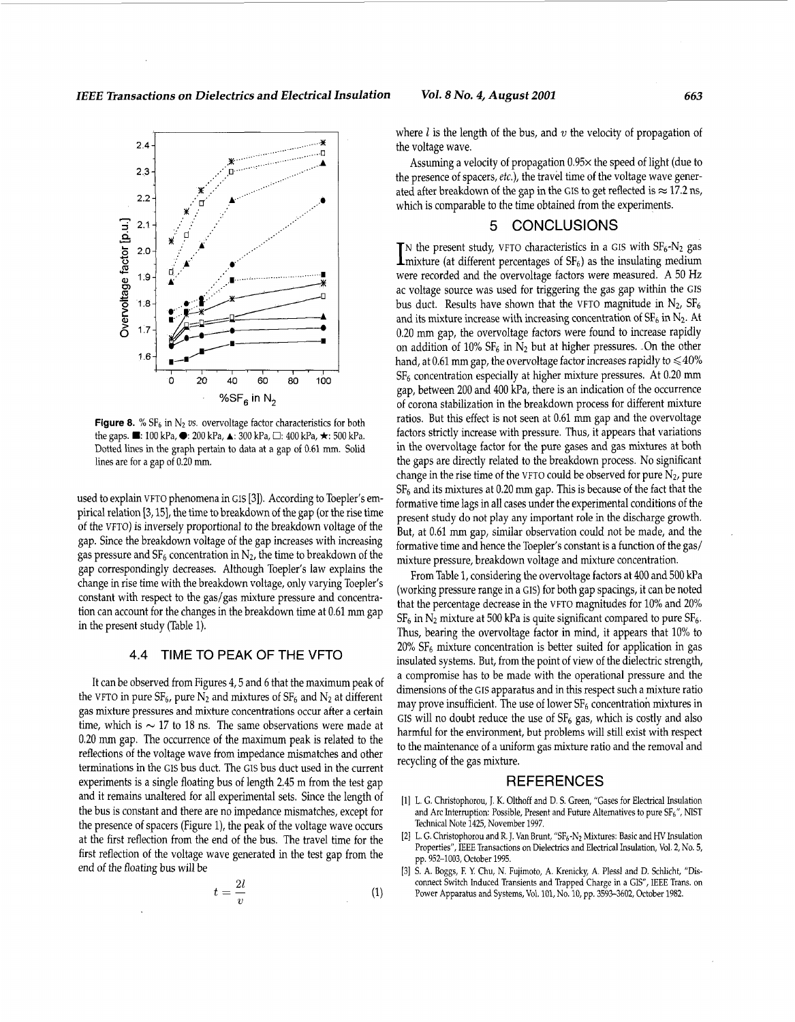*IEEE Transactions on Dielectrics and Electrical Insulation Vol. 8 No. 4, August 2001 663* 



**Figure 8.** %  $SF_6$  in  $N_2$  *vs.* overvoltage factor characteristics for both the gaps. **W:** 100 kPa, *0* 200 kPa, **A:** 300 kPa, *0:* 400 kPa, **Ir:** 500 **kPa.**  Dotted lines in the graph pertain to data at a gap of 0.61 mm. Solid lines are for a gap of 0.20 **mm.** 

used to explain VFTO phenomena in GIS [3]). According to Toepler's empirical relation [3,15], the time to breakdown of the gap (or the rise time of the VFTO) is inversely proportional to the breakdown voltage of the gap. Since the breakdown voltage of the gap increases with increasing gas pressure and  $SF_6$  concentration in  $N_2$ , the time to breakdown of the gap correspondingly decreases. Although Toepler's law explains the change in rise time with the breakdown voltage, only varying Toepler's constant with respect to the gas/gas mixture pressure and concentration can account for the changes in the breakdown time at 0.61 mm gap in the present study (Table 1).

# **4.4** TIME TO **PEAK** OF THE VFTO

It can be observed from Figures 4,5 and 6 that the maximum peak of the VFTO in pure  $SF_6$ , pure  $N_2$  and mixtures of  $SF_6$  and  $N_2$  at different gas mixture pressures and mixture concentrations occur after a certain time, which is  $\sim$  17 to 18 ns. The same observations were made at 0.20 mm gap. The occurrence of the maximum peak is related to the reflections of the voltage wave from impedance mismatches and other terminations in the CIS bus duct. The GIs bus duct used in the current experiments is a single floating bus of length 2.45 m from the test gap and it remains unaltered for all experimental sets. Since the length of the bus is constant and there are no impedance mismatches, except for the presence of spacers (Figure l), the peak of the voltage wave occurs at the first reflection from the end of the bus. The travel time for the first reflection of the voltage wave generated in the test gap from the end of the floating bus will be

$$
t = \frac{2l}{v} \tag{1}
$$

where  $l$  is the length of the bus, and  $v$  the velocity of propagation of the voltage wave.

Assuming a velocity of propagation 0.95× the speed of light (due to the presence of spacers, *etc.),* the travel time of the voltage wave generated after breakdown of the gap in the GIS to get reflected is  $\approx$  17.2 ns, which is comparable to the time obtained from the experiments.

## 5 CONCLUSIONS

The present study, VFTO characteristics in a GIS with  $SF_6\text{-}N_2$  gas I mixture (at different percentages of  $SF_6$ ) as the insulating medium were recorded and the overvoltage factors were measured. A 50 Hz ac voltage source was used for triggering the gas gap within the GIs bus duct. Results have shown that the VFTO magnitude in  $N_2$ ,  $SF_6$ and its mixture increase with increasing concentration of  $SF_6$  in  $N_2$ . At 0.20 mm gap, the overvoltage factors were found to increase rapidly on addition of  $10\%$  SF<sub>6</sub> in N<sub>2</sub> but at higher pressures.  $\Box$ On the other hand, at 0.61 mm gap, the overvoltage factor increases rapidly to  $\leq 40\%$  $SF<sub>6</sub>$  concentration especially at higher mixture pressures. At 0.20 mm gap, between 200 and 400 kPa, there is an indication of the occurrence of corona stabilization in the breakdown process for different mixture ratios. But this effect is not seen at 0.61 mm gap and the overvoltage factors strictly increase with pressure. Thus, it appears that variations in the overvoltage factor for the pure gases and gas mixtures at both the gaps are directly related to the breakdown process. No significant change in the rise time of the VFTO could be observed for pure  $N_2$ , pure  $SF<sub>6</sub>$  and its mixtures at 0.20 mm gap. This is because of the fact that the formative time lags in all cases under the experimental conditions of the present study do not play any important role in the discharge growth. But, at 0.61 mm gap, similar observation could not be made, and the formative time and hence the Toepler's constant is a function of the gas/ mixture pressure, breakdown voltage and mixture concentration.

From Table 1, considering the overvoltage factors at 400 and 500 kPa (working pressure range in a GIS) for both gap spacings, it can be noted that the percentage decrease in the VFTO magnitudes for 10% and 20%  $SF<sub>6</sub>$  in  $N<sub>2</sub>$  mixture at 500 kPa is quite significant compared to pure  $SF<sub>6</sub>$ . Thus, bearing the overvoltage factor in mind, it appears that 10% to  $20\%$  SF<sub>6</sub> mixture concentration is better suited for application in gas insulated systems. But, from the point of view of the dielectric strength, a compromise has to be made with the operational pressure and the dimensions of the GIS apparatus and in this respect such a mixture ratio may prove insufficient. The use of lower  $SF<sub>6</sub>$  concentration mixtures in GIS will no doubt reduce the use of  $SF_6$  gas, which is costly and also harmful for the environment, but problems will still exist with respect to the maintenance of a uniform gas mixture ratio and the removal and recycling of the gas mixture.

#### REFERENCES

- (11 L. G. Christophorou, J. K. Olthoff and **D.** S. Green, "Gases for Electrical Insulation and Arc Interruption: Possible, Present and Future Alternatives to pure  $SF_6$ ", NIST Technical Note 1425, November 1997.
- [2] L. G. Christophorou and R. J. Van Brunt, "SF<sub>6</sub>-N<sub>2</sub> Mixtures: Basic and HV Insulation Properties", IEEE Transactions on Dielectrics and Electrical Insulation, Vol. 2, No. **5,**  pp. 952-1003, October 1995.
- **[3]** S. A. Boggs, E Y. Chu, N. Fujimoto, A. Krenicky, A. Plessl and D. Schlicht, "Disconnect Switch Induced Transients and Trapped Charge in a GIS", IEEE Trans. on Power Apparatus and Systems, Vol. 101, No. 10, pp. 3593-3602, October 1982.